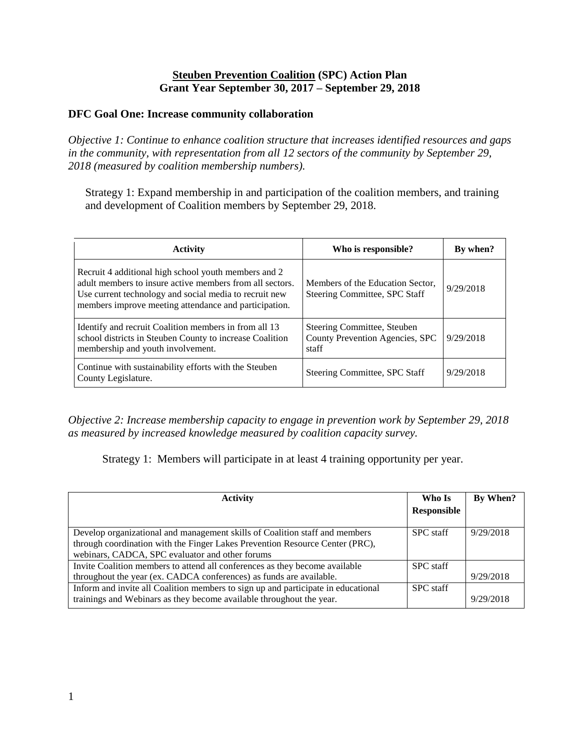### **Steuben Prevention Coalition (SPC) Action Plan Grant Year September 30, 2017 – September 29, 2018**

### **DFC Goal One: Increase community collaboration**

*Objective 1: Continue to enhance coalition structure that increases identified resources and gaps in the community, with representation from all 12 sectors of the community by September 29, 2018 (measured by coalition membership numbers).*

Strategy 1: Expand membership in and participation of the coalition members, and training and development of Coalition members by September 29, 2018.

| <b>Activity</b>                                                                                                                                                                                                                     | Who is responsible?                                                     | By when?  |
|-------------------------------------------------------------------------------------------------------------------------------------------------------------------------------------------------------------------------------------|-------------------------------------------------------------------------|-----------|
| Recruit 4 additional high school youth members and 2<br>adult members to insure active members from all sectors.<br>Use current technology and social media to recruit new<br>members improve meeting attendance and participation. | Members of the Education Sector,<br>Steering Committee, SPC Staff       | 9/29/2018 |
| Identify and recruit Coalition members in from all 13<br>school districts in Steuben County to increase Coalition<br>membership and youth involvement.                                                                              | Steering Committee, Steuben<br>County Prevention Agencies, SPC<br>staff | 9/29/2018 |
| Continue with sustainability efforts with the Steuben<br>County Legislature.                                                                                                                                                        | Steering Committee, SPC Staff                                           | 9/29/2018 |

*Objective 2: Increase membership capacity to engage in prevention work by September 29, 2018 as measured by increased knowledge measured by coalition capacity survey.*

Strategy 1: Members will participate in at least 4 training opportunity per year.

| Activity                                                                                                                                                                                                       | Who Is           | By When?  |
|----------------------------------------------------------------------------------------------------------------------------------------------------------------------------------------------------------------|------------------|-----------|
|                                                                                                                                                                                                                | Responsible      |           |
| Develop organizational and management skills of Coalition staff and members<br>through coordination with the Finger Lakes Prevention Resource Center (PRC),<br>webinars, CADCA, SPC evaluator and other forums | <b>SPC</b> staff | 9/29/2018 |
| Invite Coalition members to attend all conferences as they become available                                                                                                                                    | <b>SPC</b> staff |           |
| throughout the year (ex. CADCA conferences) as funds are available.                                                                                                                                            |                  | 9/29/2018 |
| Inform and invite all Coalition members to sign up and participate in educational<br>trainings and Webinars as they become available throughout the year.                                                      | <b>SPC</b> staff | 9/29/2018 |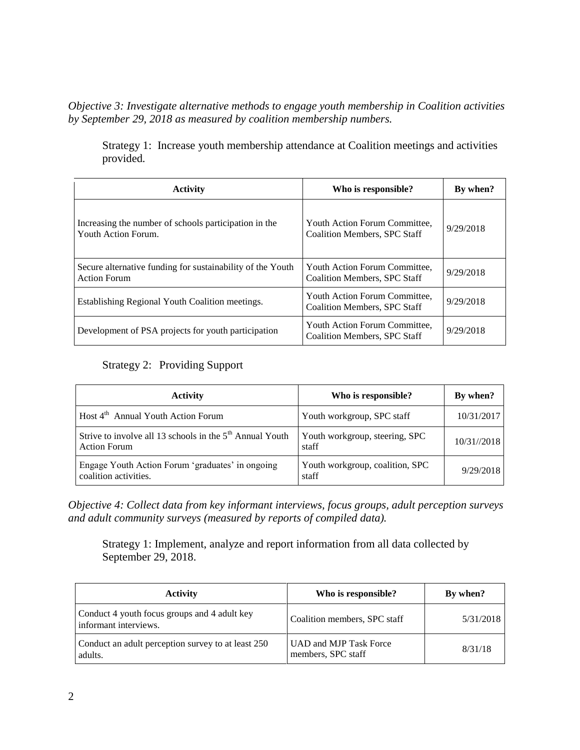*Objective 3: Investigate alternative methods to engage youth membership in Coalition activities by September 29, 2018 as measured by coalition membership numbers.*

Strategy 1: Increase youth membership attendance at Coalition meetings and activities provided*.*

| <b>Activity</b>                                                                   | Who is responsible?                                                  | By when?  |
|-----------------------------------------------------------------------------------|----------------------------------------------------------------------|-----------|
| Increasing the number of schools participation in the<br>Youth Action Forum.      | Youth Action Forum Committee,<br>Coalition Members, SPC Staff        | 9/29/2018 |
| Secure alternative funding for sustainability of the Youth<br><b>Action Forum</b> | Youth Action Forum Committee,<br><b>Coalition Members, SPC Staff</b> | 9/29/2018 |
| Establishing Regional Youth Coalition meetings.                                   | Youth Action Forum Committee,<br><b>Coalition Members, SPC Staff</b> | 9/29/2018 |
| Development of PSA projects for youth participation                               | Youth Action Forum Committee,<br><b>Coalition Members, SPC Staff</b> | 9/29/2018 |

### Strategy 2: Providing Support

| <b>Activity</b>                                                                             | Who is responsible?                      | By when?    |
|---------------------------------------------------------------------------------------------|------------------------------------------|-------------|
| Host 4 <sup>th</sup> Annual Youth Action Forum                                              | Youth workgroup, SPC staff               | 10/31/2017  |
| Strive to involve all 13 schools in the 5 <sup>th</sup> Annual Youth<br><b>Action Forum</b> | Youth workgroup, steering, SPC<br>staff  | 10/31//2018 |
| Engage Youth Action Forum 'graduates' in ongoing<br>coalition activities.                   | Youth workgroup, coalition, SPC<br>staff | 9/29/2018   |

*Objective 4: Collect data from key informant interviews, focus groups, adult perception surveys and adult community surveys (measured by reports of compiled data).*

Strategy 1: Implement, analyze and report information from all data collected by September 29, 2018.

| <b>Activity</b>                                                       | Who is responsible?                          | By when?  |
|-----------------------------------------------------------------------|----------------------------------------------|-----------|
| Conduct 4 youth focus groups and 4 adult key<br>informant interviews. | Coalition members, SPC staff                 | 5/31/2018 |
| Conduct an adult perception survey to at least 250<br>adults.         | UAD and MJP Task Force<br>members, SPC staff | 8/31/18   |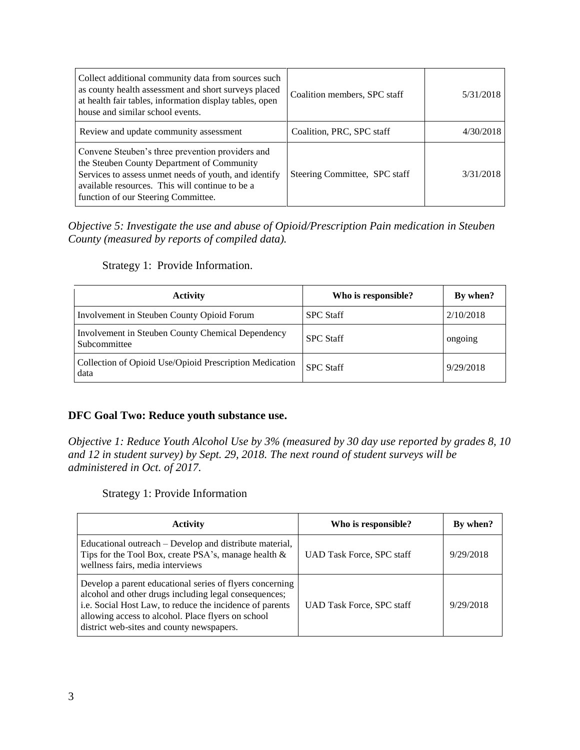| Collect additional community data from sources such<br>as county health assessment and short surveys placed<br>at health fair tables, information display tables, open<br>house and similar school events.                                        | Coalition members, SPC staff  | 5/31/2018 |
|---------------------------------------------------------------------------------------------------------------------------------------------------------------------------------------------------------------------------------------------------|-------------------------------|-----------|
| Review and update community assessment                                                                                                                                                                                                            | Coalition, PRC, SPC staff     | 4/30/2018 |
| Convene Steuben's three prevention providers and<br>the Steuben County Department of Community<br>Services to assess unmet needs of youth, and identify<br>available resources. This will continue to be a<br>function of our Steering Committee. | Steering Committee, SPC staff | 3/31/2018 |

*Objective 5: Investigate the use and abuse of Opioid/Prescription Pain medication in Steuben County (measured by reports of compiled data).*

Strategy 1: Provide Information.

| <b>Activity</b>                                                   | Who is responsible? | By when?  |
|-------------------------------------------------------------------|---------------------|-----------|
| Involvement in Steuben County Opioid Forum                        | <b>SPC</b> Staff    | 2/10/2018 |
| Involvement in Steuben County Chemical Dependency<br>Subcommittee | <b>SPC Staff</b>    | ongoing   |
| Collection of Opioid Use/Opioid Prescription Medication<br>data   | <b>SPC Staff</b>    | 9/29/2018 |

#### **DFC Goal Two: Reduce youth substance use.**

*Objective 1: Reduce Youth Alcohol Use by 3% (measured by 30 day use reported by grades 8, 10 and 12 in student survey) by Sept. 29, 2018. The next round of student surveys will be administered in Oct. of 2017.*

Strategy 1: Provide Information

| <b>Activity</b>                                                                                                                                                                                                                                                                  | Who is responsible?       | By when?  |
|----------------------------------------------------------------------------------------------------------------------------------------------------------------------------------------------------------------------------------------------------------------------------------|---------------------------|-----------|
| Educational outreach – Develop and distribute material,<br>Tips for the Tool Box, create PSA's, manage health &<br>wellness fairs, media interviews                                                                                                                              | UAD Task Force, SPC staff | 9/29/2018 |
| Develop a parent educational series of flyers concerning<br>alcohol and other drugs including legal consequences;<br>i.e. Social Host Law, to reduce the incidence of parents<br>allowing access to alcohol. Place flyers on school<br>district web-sites and county newspapers. | UAD Task Force, SPC staff | 9/29/2018 |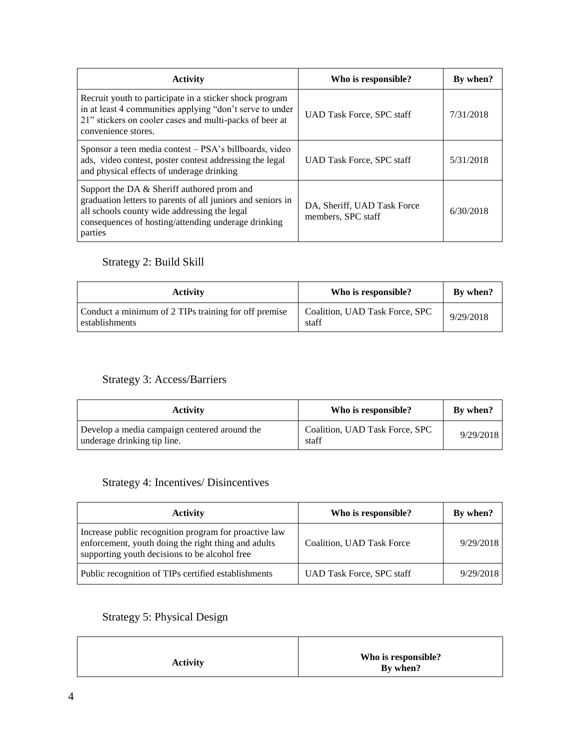| <b>Activity</b>                                                                                                                                                                                                             | Who is responsible?                               | By when?  |
|-----------------------------------------------------------------------------------------------------------------------------------------------------------------------------------------------------------------------------|---------------------------------------------------|-----------|
| Recruit youth to participate in a sticker shock program<br>in at least 4 communities applying "don't serve to under<br>21" stickers on cooler cases and multi-packs of beer at<br>convenience stores.                       | <b>UAD Task Force, SPC staff</b>                  | 7/31/2018 |
| Sponsor a teen media contest – PSA's billboards, video<br>ads, video contest, poster contest addressing the legal<br>and physical effects of underage drinking                                                              | UAD Task Force, SPC staff                         | 5/31/2018 |
| Support the DA & Sheriff authored prom and<br>graduation letters to parents of all juniors and seniors in<br>all schools county wide addressing the legal<br>consequences of hosting/attending underage drinking<br>parties | DA, Sheriff, UAD Task Force<br>members, SPC staff | 6/30/2018 |

## Strategy 2: Build Skill

| <b>Activity</b>                                                        | Who is responsible?                     | By when?  |
|------------------------------------------------------------------------|-----------------------------------------|-----------|
| Conduct a minimum of 2 TIPs training for off premise<br>establishments | Coalition, UAD Task Force, SPC<br>staff | 9/29/2018 |

## Strategy 3: Access/Barriers

| <b>Activity</b>                                                             | Who is responsible?                     | By when?  |
|-----------------------------------------------------------------------------|-----------------------------------------|-----------|
| Develop a media campaign centered around the<br>underage drinking tip line. | Coalition, UAD Task Force, SPC<br>staff | 9/29/2018 |

## Strategy 4: Incentives/ Disincentives

| <b>Activity</b>                                                                                                                                               | Who is responsible?              | By when?  |
|---------------------------------------------------------------------------------------------------------------------------------------------------------------|----------------------------------|-----------|
| Increase public recognition program for proactive law<br>enforcement, youth doing the right thing and adults<br>supporting youth decisions to be alcohol free | Coalition, UAD Task Force        | 9/29/2018 |
| Public recognition of TIPs certified establishments                                                                                                           | <b>UAD Task Force, SPC staff</b> | 9/29/2018 |

# Strategy 5: Physical Design

| <b>Activity</b> | Who is responsible?<br>By when? |
|-----------------|---------------------------------|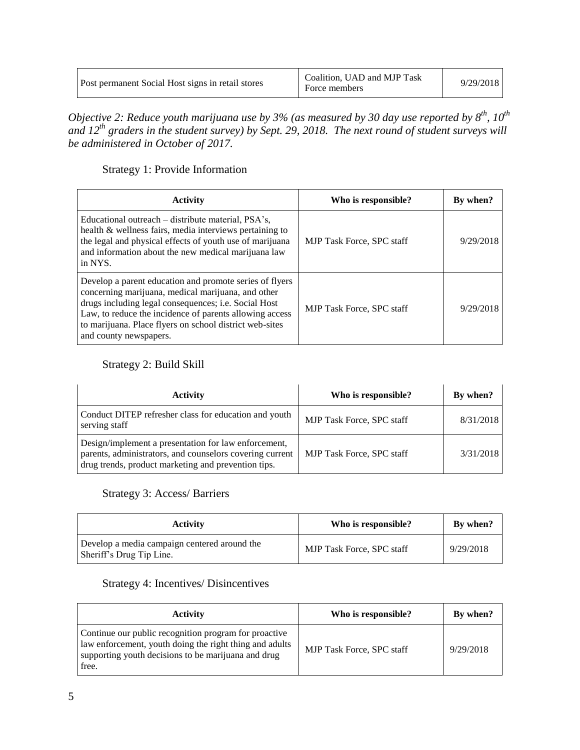| Post permanent Social Host signs in retail stores | Coalition, UAD and MJP Task<br>Force members | 9/29/2018 |  |
|---------------------------------------------------|----------------------------------------------|-----------|--|
|---------------------------------------------------|----------------------------------------------|-----------|--|

*Objective 2: Reduce youth marijuana use by 3% (as measured by 30 day use reported by 8 th , 10th and 12th graders in the student survey) by Sept. 29, 2018. The next round of student surveys will be administered in October of 2017.*

Strategy 1: Provide Information

| <b>Activity</b>                                                                                                                                                                                                                                                                                                       | Who is responsible?              | By when?  |
|-----------------------------------------------------------------------------------------------------------------------------------------------------------------------------------------------------------------------------------------------------------------------------------------------------------------------|----------------------------------|-----------|
| Educational outreach – distribute material, PSA's,<br>health & wellness fairs, media interviews pertaining to<br>the legal and physical effects of youth use of marijuana<br>and information about the new medical marijuana law<br>in NYS.                                                                           | <b>MJP</b> Task Force, SPC staff | 9/29/2018 |
| Develop a parent education and promote series of flyers<br>concerning marijuana, medical marijuana, and other<br>drugs including legal consequences; i.e. Social Host<br>Law, to reduce the incidence of parents allowing access<br>to marijuana. Place flyers on school district web-sites<br>and county newspapers. | <b>MJP</b> Task Force, SPC staff | 9/29/2018 |

## Strategy 2: Build Skill

| <b>Activity</b>                                                                                                                                                         | Who is responsible?              | By when?  |
|-------------------------------------------------------------------------------------------------------------------------------------------------------------------------|----------------------------------|-----------|
| Conduct DITEP refresher class for education and youth<br>serving staff                                                                                                  | <b>MJP Task Force, SPC staff</b> | 8/31/2018 |
| Design/implement a presentation for law enforcement,<br>parents, administrators, and counselors covering current<br>drug trends, product marketing and prevention tips. | <b>MJP Task Force, SPC staff</b> | 3/31/2018 |

### Strategy 3: Access/ Barriers

| Activity                                                                 | Who is responsible?              | By when?  |
|--------------------------------------------------------------------------|----------------------------------|-----------|
| Develop a media campaign centered around the<br>Sheriff's Drug Tip Line. | <b>MJP Task Force, SPC staff</b> | 9/29/2018 |

### Strategy 4: Incentives/ Disincentives

| <b>Activity</b>                                                                                                                                                                  | Who is responsible?              | By when?  |
|----------------------------------------------------------------------------------------------------------------------------------------------------------------------------------|----------------------------------|-----------|
| Continue our public recognition program for proactive<br>law enforcement, youth doing the right thing and adults<br>supporting youth decisions to be marijuana and drug<br>free. | <b>MJP Task Force, SPC staff</b> | 9/29/2018 |